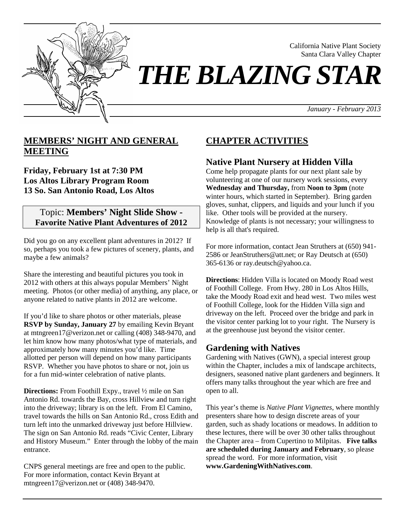

California Native Plant Society Santa Clara Valley Chapter

## *THE BLAZING STAR*

*January - February 2013*

#### **MEMBERS' NIGHT AND GENERAL MEETING**

**Friday, February 1st at 7:30 PM Los Altos Library Program Room 13 So. San Antonio Road, Los Altos**

#### Topic: **Members' Night Slide Show - Favorite Native Plant Adventures of 2012**

Did you go on any excellent plant adventures in 2012? If so, perhaps you took a few pictures of scenery, plants, and maybe a few animals?

Share the interesting and beautiful pictures you took in 2012 with others at this always popular Members' Night meeting. Photos (or other media) of anything, any place, or anyone related to native plants in 2012 are welcome.

If you'd like to share photos or other materials, please **RSVP by Sunday, January 27** by emailing Kevin Bryant at mtngreen17@verizon.net or calling (408) 348-9470, and let him know how many photos/what type of materials, and approximately how many minutes you'd like. Time allotted per person will depend on how many participants RSVP. Whether you have photos to share or not, join us for a fun mid-winter celebration of native plants.

**Directions:** From Foothill Expy., travel ½ mile on San Antonio Rd. towards the Bay, cross Hillview and turn right into the driveway; library is on the left. From El Camino, travel towards the hills on San Antonio Rd., cross Edith and turn left into the unmarked driveway just before Hillview. The sign on San Antonio Rd. reads "Civic Center, Library and History Museum." Enter through the lobby of the main entrance.

CNPS general meetings are free and open to the public. For more information, contact Kevin Bryant at mtngreen17@verizon.net or (408) 348-9470.

### **CHAPTER ACTIVITIES**

#### **Native Plant Nursery at Hidden Villa**

Come help propagate plants for our next plant sale by volunteering at one of our nursery work sessions, every **Wednesday and Thursday,** from **Noon to 3pm** (note winter hours, which started in September). Bring garden gloves, sunhat, clippers, and liquids and your lunch if you like. Other tools will be provided at the nursery. Knowledge of plants is not necessary; your willingness to help is all that's required.

For more information, contact Jean Struthers at (650) 941- 2586 or JeanStruthers@att.net; or Ray Deutsch at (650) 365-6136 or ray.deutsch@yahoo.ca.

**Directions**: Hidden Villa is located on Moody Road west of Foothill College. From Hwy. 280 in Los Altos Hills, take the Moody Road exit and head west. Two miles west of Foothill College, look for the Hidden Villa sign and driveway on the left. Proceed over the bridge and park in the visitor center parking lot to your right. The Nursery is at the greenhouse just beyond the visitor center.

#### **Gardening with Natives**

Gardening with Natives (GWN), a special interest group within the Chapter, includes a mix of landscape architects, designers, seasoned native plant gardeners and beginners. It offers many talks throughout the year which are free and open to all.

This year's theme is *Native Plant Vignettes*, where monthly presenters share how to design discrete areas of your garden, such as shady locations or meadows. In addition to these lectures, there will be over 30 other talks throughout the Chapter area – from Cupertino to Milpitas. **Five talks are scheduled during January and February**, so please spread the word. For more information, visit **www.GardeningWithNatives.com**.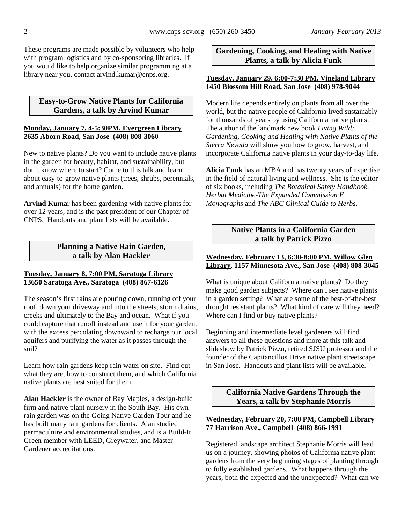These programs are made possible by volunteers who help with program logistics and by co-sponsoring libraries. If you would like to help organize similar programming at a library near you, contact arvind.kumar@cnps.org.

#### **Easy-to-Grow Native Plants for California Gardens, a talk by Arvind Kumar**

#### **Monday, January 7, 4-5:30PM, Evergreen Library 2635 Aborn Road, San Jose (408) 808-3060**

New to native plants? Do you want to include native plants in the garden for beauty, habitat, and sustainability, but don't know where to start? Come to this talk and learn about easy-to-grow native plants (trees, shrubs, perennials, and annuals) for the home garden.

**Arvind Kuma**r has been gardening with native plants for over 12 years, and is the past president of our Chapter of CNPS. Handouts and plant lists will be available.

#### **Planning a Native Rain Garden, a talk by Alan Hackler**

#### **Tuesday, January 8, 7:00 PM, Saratoga Library 13650 Saratoga Ave., Saratoga (408) 867-6126**

The season's first rains are pouring down, running off your roof, down your driveway and into the streets, storm drains, creeks and ultimately to the Bay and ocean. What if you could capture that runoff instead and use it for your garden, with the excess percolating downward to recharge our local aquifers and purifying the water as it passes through the soil?

Learn how rain gardens keep rain water on site. Find out what they are, how to construct them, and which California native plants are best suited for them.

**Alan Hackler** is the owner of Bay Maples, a design-build firm and native plant nursery in the South Bay. His own rain garden was on the Going Native Garden Tour and he has built many rain gardens for clients. Alan studied permaculture and environmental studies, and is a Build-It Green member with LEED, Greywater, and Master Gardener accreditations.

#### **Gardening, Cooking, and Healing with Native Plants, a talk by Alicia Funk**

#### **Tuesday, January 29, 6:00-7:30 PM, Vineland Library 1450 Blossom Hill Road, San Jose (408) 978-9044**

Modern life depends entirely on plants from all over the world, but the native people of California lived sustainably for thousands of years by using California native plants. The author of the landmark new book *Living Wild: Gardening, Cooking and Healing with Native Plants of the Sierra Nevada* will show you how to grow, harvest, and incorporate California native plants in your day-to-day life.

**Alicia Funk** has an MBA and has twenty years of expertise in the field of natural living and wellness. She is the editor of six books, including *The Botanical Safety Handbook, Herbal Medicine-The Expanded Commission E Monographs* and *The ABC Clinical Guide to Herbs*.

#### **Native Plants in a California Garden a talk by Patrick Pizzo**

#### **Wednesday, February 13, 6:30-8:00 PM, Willow Glen Library, 1157 Minnesota Ave., San Jose (408) 808-3045**

What is unique about California native plants? Do they make good garden subjects? Where can I see native plants in a garden setting? What are some of the best-of-the-best drought resistant plants? What kind of care will they need? Where can I find or buy native plants?

Beginning and intermediate level gardeners will find answers to all these questions and more at this talk and slideshow by Patrick Pizzo, retired SJSU professor and the founder of the Capitancillos Drive native plant streetscape in San Jose. Handouts and plant lists will be available.

> **California Native Gardens Through the Years, a talk by Stephanie Morris**

#### **Wednesday, February 20, 7:00 PM, Campbell Library 77 Harrison Ave., Campbell (408) 866-1991**

Registered landscape architect Stephanie Morris will lead us on a journey, showing photos of California native plant gardens from the very beginning stages of planting through to fully established gardens. What happens through the years, both the expected and the unexpected? What can we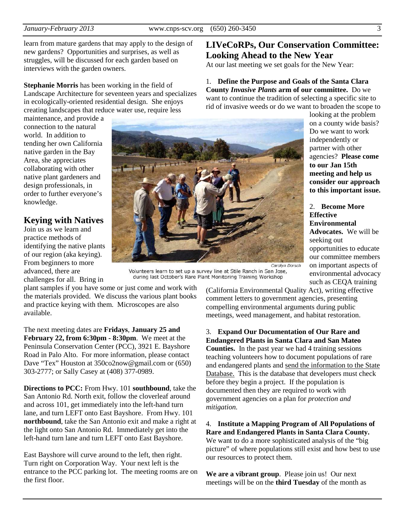learn from mature gardens that may apply to the design of new gardens? Opportunities and surprises, as well as struggles, will be discussed for each garden based on interviews with the garden owners.

**Stephanie Morris** has been working in the field of Landscape Architecture for seventeen years and specializes in ecologically-oriented residential design. She enjoys creating landscapes that reduce water use, require less

maintenance, and provide a connection to the natural world. In addition to tending her own California native garden in the Bay Area, she appreciates collaborating with other native plant gardeners and design professionals, in order to further everyone's knowledge.

#### **Keying with Natives**

Join us as we learn and practice methods of identifying the native plants of our region (aka keying). From beginners to more advanced, there are challenges for all. Bring in



Volunteers learn to set up a survey line at Stile Ranch in San Jose, during last October's Rare Plant Monitoring Training Workshop

plant samples if you have some or just come and work with the materials provided. We discuss the various plant books and practice keying with them. Microscopes are also available.

The next meeting dates are **Fridays**, **January 25 and February 22, from 6:30pm - 8:30pm**. We meet at the Peninsula Conservation Center (PCC), 3921 E. Bayshore Road in Palo Alto. For more information, please contact Dave "Tex" Houston at 350co2now@gmail.com or (650) 303-2777; or Sally Casey at (408) 377-0989.

**Directions to PCC:** From Hwy. 101 **southbound**, take the San Antonio Rd. North exit, follow the cloverleaf around and across 101, get immediately into the left-hand turn lane, and turn LEFT onto East Bayshore. From Hwy. 101 **northbound**, take the San Antonio exit and make a right at the light onto San Antonio Rd. Immediately get into the left-hand turn lane and turn LEFT onto East Bayshore.

East Bayshore will curve around to the left, then right. Turn right on Corporation Way. Your next left is the entrance to the PCC parking lot. The meeting rooms are on the first floor.

#### **LIVeCoRPs, Our Conservation Committee: Looking Ahead to the New Year**

At our last meeting we set goals for the New Year:

#### 1. **Define the Purpose and Goals of the Santa Clara County** *Invasive Plants* **arm of our committee.** Do we want to continue the tradition of selecting a specific site to rid of invasive weeds or do we want to broaden the scope to

looking at the problem on a county wide basis? Do we want to work independently or partner with other agencies? **Please come to our Jan 15th meeting and help us consider our approach to this important issue.**

#### 2. **Become More Effective Environmental Advocates.** We will be seeking out opportunities to educate our committee members on important aspects of environmental advocacy

such as CEQA training (California Environmental Quality Act), writing effective comment letters to government agencies, presenting compelling environmental arguments during public

meetings, weed management, and habitat restoration. 3. **Expand Our Documentation of Our Rare and Endangered Plants in Santa Clara and San Mateo Counties.** In the past year we had 4 training sessions teaching volunteers how to document populations of rare

and endangered plants and send the information to the State Database. This is the database that developers must check before they begin a project. If the population is documented then they are required to work with government agencies on a plan for *protection and mitigation.* 

4. **Institute a Mapping Program of All Populations of Rare and Endangered Plants in Santa Clara County.** We want to do a more sophisticated analysis of the "big picture" of where populations still exist and how best to use our resources to protect them.

**We are a vibrant group**. Please join us! Our next meetings will be on the **third Tuesday** of the month as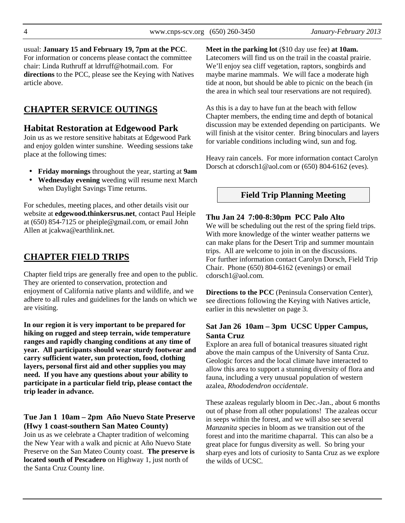usual: **January 15 and February 19, 7pm at the PCC**. For information or concerns please contact the committee chair: Linda Ruthruff at ldrruff@hotmail.com. For **directions** to the PCC, please see the Keying with Natives article above.

#### **CHAPTER SERVICE OUTINGS**

#### **Habitat Restoration at Edgewood Park**

Join us as we restore sensitive habitats at Edgewood Park and enjoy golden winter sunshine. Weeding sessions take place at the following times:

- **Friday mornings** throughout the year, starting at **9am**
- **Wednesday evening** weeding will resume next March when Daylight Savings Time returns.

For schedules, meeting places, and other details visit our website at **edgewood.thinkersrus.net**, contact Paul Heiple at (650) 854-7125 or pheiple@gmail.com, or email John Allen at jcakwa@earthlink.net.

#### **CHAPTER FIELD TRIPS**

Chapter field trips are generally free and open to the public. They are oriented to conservation, protection and enjoyment of California native plants and wildlife, and we adhere to all rules and guidelines for the lands on which we are visiting.

**In our region it is very important to be prepared for hiking on rugged and steep terrain, wide temperature ranges and rapidly changing conditions at any time of year. All participants should wear sturdy footwear and carry sufficient water, sun protection, food, clothing layers, personal first aid and other supplies you may need. If you have any questions about your ability to participate in a particular field trip, please contact the trip leader in advance.** 

#### **Tue Jan 1 10am – 2pm Año Nuevo State Preserve (Hwy 1 coast-southern San Mateo County)**

Join us as we celebrate a Chapter tradition of welcoming the New Year with a walk and picnic at Año Nuevo State Preserve on the San Mateo County coast. **The preserve is located south of Pescadero** on Highway 1, just north of the Santa Cruz County line.

**Meet in the parking lot** (\$10 day use fee) **at 10am.** Latecomers will find us on the trail in the coastal prairie. We'll enjoy sea cliff vegetation, raptors, songbirds and maybe marine mammals. We will face a moderate high tide at noon, but should be able to picnic on the beach (in the area in which seal tour reservations are not required).

As this is a day to have fun at the beach with fellow Chapter members, the ending time and depth of botanical discussion may be extended depending on participants. We will finish at the visitor center. Bring binoculars and layers for variable conditions including wind, sun and fog.

Heavy rain cancels. For more information contact Carolyn Dorsch at cdorsch1@aol.com or (650) 804-6162 (eves).

#### **Field Trip Planning Meeting**

#### **Thu Jan 24 7:00-8:30pm PCC Palo Alto**

We will be scheduling out the rest of the spring field trips. With more knowledge of the winter weather patterns we can make plans for the Desert Trip and summer mountain trips. All are welcome to join in on the discussions. For further information contact Carolyn Dorsch, Field Trip Chair. Phone (650) 804-6162 (evenings) or email cdorsch1@aol.com.

**Directions to the PCC** (Peninsula Conservation Center), see directions following the Keying with Natives article, earlier in this newsletter on page 3.

#### **Sat Jan 26 10am – 3pm UCSC Upper Campus, Santa Cruz**

Explore an area full of botanical treasures situated right above the main campus of the University of Santa Cruz. Geologic forces and the local climate have interacted to allow this area to support a stunning diversity of flora and fauna, including a very unusual population of western azalea, *Rhododendron occidentale*.

These azaleas regularly bloom in Dec.-Jan., about 6 months out of phase from all other populations! The azaleas occur in seeps within the forest, and we will also see several *Manzanita* species in bloom as we transition out of the forest and into the maritime chaparral. This can also be a great place for fungus diversity as well. So bring your sharp eyes and lots of curiosity to Santa Cruz as we explore the wilds of UCSC.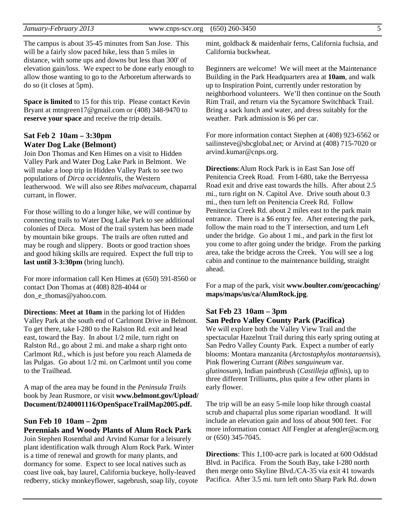The campus is about 35-45 minutes from San Jose. This will be a fairly slow paced hike, less than 5 miles in distance, with some ups and downs but less than 300' of elevation gain/loss. We expect to be done early enough to allow those wanting to go to the Arboretum afterwards to do so (it closes at 5pm).

**Space is limited** to 15 for this trip. Please contact Kevin Bryant at mtngreen17@gmail.com or (408) 348-9470 to **reserve your space** and receive the trip details.

#### **Sat Feb 2 10am – 3:30pm Water Dog Lake (Belmont)**

Join Don Thomas and Ken Himes on a visit to Hidden Valley Park and Water Dog Lake Park in Belmont. We will make a loop trip in Hidden Valley Park to see two populations of *Dirca occidentalis*, the Western leatherwood. We will also see *Ribes malvaceum*, chaparral currant, in flower.

For those willing to do a longer hike, we will continue by connecting trails to Water Dog Lake Park to see additional colonies of Dirca. Most of the trail system has been made by mountain bike groups. The trails are often rutted and may be rough and slippery. Boots or good traction shoes and good hiking skills are required. Expect the full trip to **last until 3-3:30pm** (bring lunch).

For more information call Ken Himes at (650) 591-8560 or contact Don Thomas at (408) 828-4044 or don\_e\_thomas@yahoo.com.

**Directions**: **Meet at 10am** in the parking lot of Hidden Valley Park at the south end of Carlmont Drive in Belmont. To get there, take I-280 to the Ralston Rd. exit and head east, toward the Bay. In about 1/2 mile, turn right on Ralston Rd., go about 2 mi. and make a sharp right onto Carlmont Rd., which is just before you reach Alameda de las Pulgas. Go about 1/2 mi. on Carlmont until you come to the Trailhead.

A map of the area may be found in the *Peninsula Trails* book by Jean Rusmore, or visit **www.belmont.gov/Upload/ Document/D240001116/OpenSpaceTrailMap2005.pdf.** 

#### **Sun Feb 10 10am – 2pm**

#### **Perennials and Woody Plants of Alum Rock Park**

Join Stephen Rosenthal and Arvind Kumar for a leisurely plant identification walk through Alum Rock Park. Winter is a time of renewal and growth for many plants, and dormancy for some. Expect to see local natives such as coast live oak, bay laurel, California buckeye, holly-leaved redberry, sticky monkeyflower, sagebrush, soap lily, coyote

mint, goldback & maidenhair ferns, California fuchsia, and California buckwheat.

Beginners are welcome! We will meet at the Maintenance Building in the Park Headquarters area at **10am**, and walk up to Inspiration Point, currently under restoration by neighborhood volunteers. We'll then continue on the South Rim Trail, and return via the Sycamore Switchback Trail. Bring a sack lunch and water, and dress suitably for the weather. Park admission is \$6 per car.

For more information contact Stephen at (408) 923-6562 or sailinsteve@sbcglobal.net; or Arvind at (408) 715-7020 or arvind.kumar@cnps.org.

**Directions**:Alum Rock Park is in East San Jose off Penitencia Creek Road. From I-680, take the Berryessa Road exit and drive east towards the hills. After about 2.5 mi., turn right on N. Capitol Ave. Drive south about 0.3 mi., then turn left on Penitencia Creek Rd. Follow Penitencia Creek Rd. about 2 miles east to the park main entrance. There is a \$6 entry fee. After entering the park, follow the main road to the T intersection, and turn Left under the bridge. Go about 1 mi., and park in the first lot you come to after going under the bridge. From the parking area, take the bridge across the Creek. You will see a log cabin and continue to the maintenance building, straight ahead.

For a map of the park, visit **www.boulter.com/geocaching/ maps/maps/us/ca/AlumRock.jpg**.

#### **Sat Feb 23 10am – 3pm San Pedro Valley County Park (Pacifica)**

We will explore both the Valley View Trail and the spectacular Hazelnut Trail during this early spring outing at San Pedro Valley County Park. Expect a number of early blooms: Montara manzanita (*Arctostaphylos montaraensis*), Pink flowering Currant (*Ribes sanguineum* var. *glutinosum*), Indian paintbrush (*Castilleja affinis*), up to three different Trilliums, plus quite a few other plants in early flower.

The trip will be an easy 5-mile loop hike through coastal scrub and chaparral plus some riparian woodland. It will include an elevation gain and loss of about 900 feet. For more information contact Alf Fengler at afengler@acm.org or (650) 345-7045.

**Directions**: This 1,100-acre park is located at 600 Oddstad Blvd. in Pacifica. From the South Bay, take I-280 north then merge onto Skyline Blvd./CA-35 via exit 41 towards Pacifica. After 3.5 mi. turn left onto Sharp Park Rd. down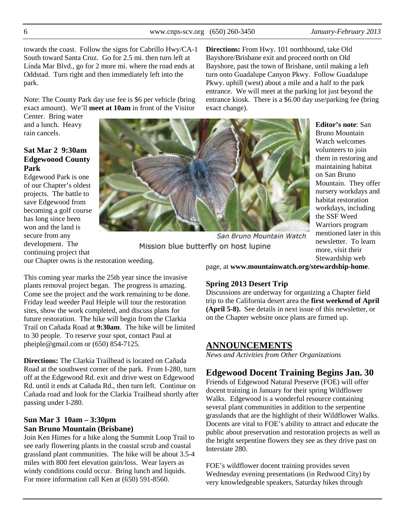towards the coast. Follow the signs for Cabrillo Hwy/CA-1 South toward Santa Cruz. Go for 2.5 mi. then turn left at Linda Mar Blvd., go for 2 more mi. where the road ends at Oddstad. Turn right and then immediately left into the **Directions:** From Hwy. 101 northbound, take Old Bayshore/Brisbane exit and proceed north on Old Bayshore, past the town of Brisbane, until making a left turn onto Guadalupe Canyon Pkwy. Follow Guadalupe Pkwy. uphill (west) about a mile and a half to the park

Note: The County Park day use fee is \$6 per vehicle (bring exact amount). We'll **meet at 10am** in front of the Visitor

This coming year marks the 25th year since the invasive plants removal project began. The progress is amazing. Come see the project and the work remaining to be done. Friday lead weeder Paul Heiple will tour the restoration sites, show the work completed, and discuss plans for future restoration. The hike will begin from the Clarkia Trail on Cañada Road at **9:30am**. The hike will be limited

to 30 people. To reserve your spot, contact Paul at

**Directions:** The Clarkia Trailhead is located on Cañada Road at the southwest corner of the park. From I-280, turn off at the Edgewood Rd. exit and drive west on Edgewood Rd. until it ends at Cañada Rd., then turn left. Continue on Cañada road and look for the Clarkia Trailhead shortly after

pheiple@gmail.com or (650) 854-7125.

Center. Bring water and a lunch. Heavy rain cancels.

#### **Sat Mar 2 9:30am Edgewoood County Park**

Edgewood Park is one of our Chapter's oldest projects. The battle to save Edgewood from becoming a golf course has long since been won and the land is secure from any development. The continuing project that our Chapter owns is the restoration weeding.

entrance. We will meet at the parking lot just beyond the entrance kiosk. There is a \$6.00 day use/parking fee (bring exact change). **Editor's note**: San

San Bruno Mountain Watch

Bruno Mountain Watch welcomes volunteers to join them in restoring and maintaining habitat on San Bruno Mountain. They offer nursery workdays and habitat restoration workdays, including the SSF Weed Warriors program mentioned later in this newsletter. To learn more, visit their Stewardship web

page, at **www.mountainwatch.org/stewardship-home**.

#### **Spring 2013 Desert Trip**

Discussions are underway for organizing a Chapter field trip to the California desert area the **first weekend of April (April 5-8).** See details in next issue of this newsletter, or on the Chapter website once plans are firmed up.

#### **ANNOUNCEMENTS**

*News and Activities from Other Organizations* 

#### **Edgewood Docent Training Begins Jan. 30**

Friends of Edgewood Natural Preserve (FOE) will offer docent training in January for their spring Wildflower Walks. Edgewood is a wonderful resource containing several plant communities in addition to the serpentine grasslands that are the highlight of their Wildflower Walks. Docents are vital to FOE's ability to attract and educate the public about preservation and restoration projects as well as the bright serpentine flowers they see as they drive past on Interstate 280.

FOE's wildflower docent training provides seven Wednesday evening presentations (in Redwood City) by very knowledgeable speakers, Saturday hikes through

#### **Sun Mar 3 10am – 3:30pm San Bruno Mountain (Brisbane)**

passing under I-280.

Join Ken Himes for a hike along the Summit Loop Trail to see early flowering plants in the coastal scrub and coastal grassland plant communities. The hike will be about 3.5-4 miles with 800 feet elevation gain/loss. Wear layers as windy conditions could occur. Bring lunch and liquids. For more information call Ken at (650) 591-8560.

park.

# Mission blue butterfly on host lupine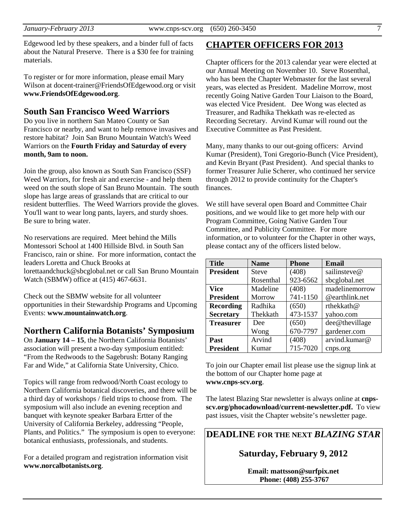Edgewood led by these speakers, and a binder full of facts about the Natural Preserve. There is a \$30 fee for training materials.

To register or for more information, please email Mary Wilson at docent-trainer@FriendsOfEdgewood.org or visit **www.FriendsOfEdgewood.org**.

#### **South San Francisco Weed Warriors**

Do you live in northern San Mateo County or San Francisco or nearby, and want to help remove invasives and restore habitat? Join San Bruno Mountain Watch's Weed Warriors on the **Fourth Friday and Saturday of every month, 9am to noon.** 

Join the group, also known as South San Francisco (SSF) Weed Warriors, for fresh air and exercise - and help them weed on the south slope of San Bruno Mountain. The south slope has large areas of grasslands that are critical to our resident butterflies. The Weed Warriors provide the gloves. You'll want to wear long pants, layers, and sturdy shoes. Be sure to bring water.

No reservations are required. Meet behind the Mills Montessori School at 1400 Hillside Blvd. in South San Francisco, rain or shine. For more information, contact the leaders Loretta and Chuck Brooks at lorettaandchuck@sbcglobal.net or call San Bruno Mountain Watch (SBMW) office at (415) 467-6631.

Check out the SBMW website for all volunteer opportunities in their Stewardship Programs and Upcoming Events: **www.mountainwatch.org**.

#### **Northern California Botanists' Symposium**

On **January 14 – 15**, the Northern California Botanists' association will present a two-day symposium entitled: "From the Redwoods to the Sagebrush: Botany Ranging Far and Wide," at California State University, Chico.

Topics will range from redwood/North Coast ecology to Northern California botanical discoveries, and there will be a third day of workshops / field trips to choose from. The symposium will also include an evening reception and banquet with keynote speaker Barbara Ertter of the University of California Berkeley, addressing "People, Plants, and Politics." The symposium is open to everyone: botanical enthusiasts, professionals, and students.

For a detailed program and registration information visit **www.norcalbotanists.org**.

#### **CHAPTER OFFICERS FOR 2013**

Chapter officers for the 2013 calendar year were elected at our Annual Meeting on November 10. Steve Rosenthal, who has been the Chapter Webmaster for the last several years, was elected as President. Madeline Morrow, most recently Going Native Garden Tour Liaison to the Board, was elected Vice President. Dee Wong was elected as Treasurer, and Radhika Thekkath was re-elected as Recording Secretary. Arvind Kumar will round out the Executive Committee as Past President.

Many, many thanks to our out-going officers: Arvind Kumar (President), Toni Gregorio-Bunch (Vice President), and Kevin Bryant (Past President). And special thanks to former Treasurer Julie Scherer, who continued her service through 2012 to provide continuity for the Chapter's finances.

We still have several open Board and Committee Chair positions, and we would like to get more help with our Program Committee, Going Native Garden Tour Committee, and Publicity Committee. For more information, or to volunteer for the Chapter in other ways, please contact any of the officers listed below.

| <b>Title</b>     | <b>Name</b>  | <b>Phone</b> | <b>Email</b>   |
|------------------|--------------|--------------|----------------|
| <b>President</b> | <b>Steve</b> | (408)        | sailinsteve@   |
|                  | Rosenthal    | 923-6562     | sbcglobal.net  |
| <b>Vice</b>      | Madeline     | (408)        | madelinemorrow |
| <b>President</b> | Morrow       | 741-1150     | @earthlink.net |
| <b>Recording</b> | Radhika      | (650)        | rthekkath@     |
| <b>Secretary</b> | Thekkath     | 473-1537     | yahoo.com      |
| <b>Treasurer</b> | Dee          | (650)        | dee@thevillage |
|                  | Wong         | 670-7797     | gardener.com   |
| Past             | Arvind       | (408)        | arvind.kumar@  |
| <b>President</b> | Kumar        | 715-7020     | cnps.org       |

To join our Chapter email list please use the signup link at the bottom of our Chapter home page at **www.cnps-scv.org**.

The latest Blazing Star newsletter is always online at **cnpsscv.org/phocadownload/current-newsletter.pdf.** To view past issues, visit the Chapter website's newsletter page.

**DEADLINE FOR THE NEXT** *BLAZING STAR* 

**Saturday, February 9, 2012** 

**Email: mattsson@surfpix.net Phone: (408) 255-3767**